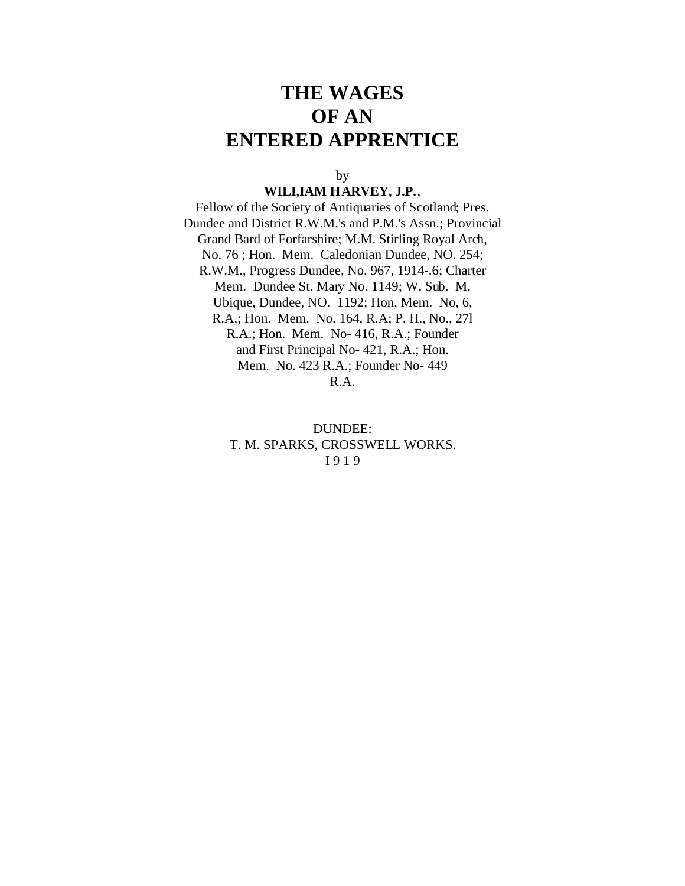# **THE WAGES OF AN ENTERED APPRENTICE**

by

#### **WILI,IAM HARVEY, J.P.**,

Fellow of the Society of Antiquaries of Scotland; Pres. Dundee and District R.W.M.'s and P.M.'s Assn.; Provincial Grand Bard of Forfarshire; M.M. Stirling Royal Arch, No. 76 ; Hon. Mem. Caledonian Dundee, NO. 254; R.W.M., Progress Dundee, No. 967, 1914-.6; Charter Mem. Dundee St. Mary No. 1149; W. Sub. M. Ubique, Dundee, NO. 1192; Hon, Mem. No, 6, R.A,; Hon. Mem. No. 164, R.A; P. H., No., 27l R.A.; Hon. Mem. No- 416, R.A.; Founder and First Principal No- 421, R.A.; Hon. Mem. No. 423 R.A.; Founder No- 449 R.A.

> DUNDEE: T. M. SPARKS, CROSSWELL WORKS. I 9 1 9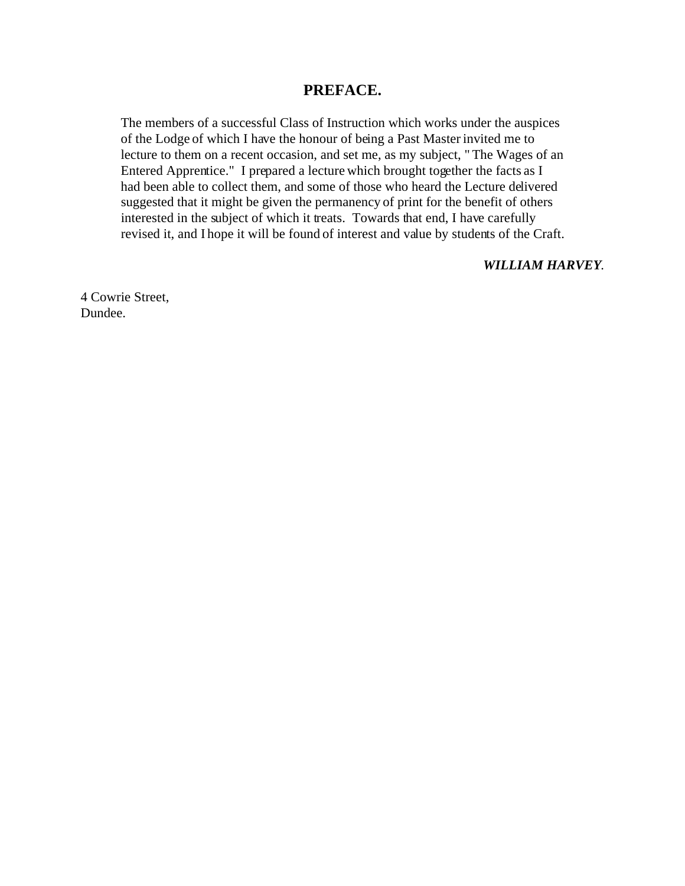### **PREFACE.**

The members of a successful Class of Instruction which works under the auspices of the Lodge of which I have the honour of being a Past Master invited me to lecture to them on a recent occasion, and set me, as my subject, " The Wages of an Entered Apprentice." I prepared a lecture which brought together the facts as I had been able to collect them, and some of those who heard the Lecture delivered suggested that it might be given the permanency of print for the benefit of others interested in the subject of which it treats. Towards that end, I have carefully revised it, and I hope it will be found of interest and value by students of the Craft.

#### *WILLIAM HARVEY*.

4 Cowrie Street, Dundee.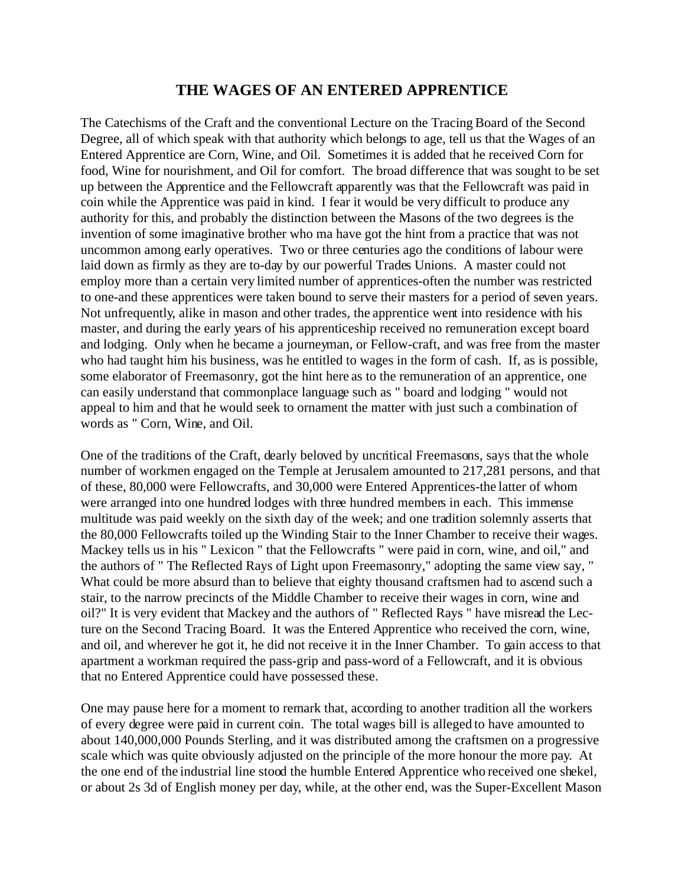## **THE WAGES OF AN ENTERED APPRENTICE**

The Catechisms of the Craft and the conventional Lecture on the Tracing Board of the Second Degree, all of which speak with that authority which belongs to age, tell us that the Wages of an Entered Apprentice are Corn, Wine, and Oil. Sometimes it is added that he received Corn for food, Wine for nourishment, and Oil for comfort. The broad difference that was sought to be set up between the Apprentice and the Fellowcraft apparently was that the Fellowcraft was paid in coin while the Apprentice was paid in kind. I fear it would be very difficult to produce any authority for this, and probably the distinction between the Masons of the two degrees is the invention of some imaginative brother who ma have got the hint from a practice that was not uncommon among early operatives. Two or three centuries ago the conditions of labour were laid down as firmly as they are to-day by our powerful Trades Unions. A master could not employ more than a certain very limited number of apprentices-often the number was restricted to one-and these apprentices were taken bound to serve their masters for a period of seven years. Not unfrequently, alike in mason and other trades, the apprentice went into residence with his master, and during the early years of his apprenticeship received no remuneration except board and lodging. Only when he became a journeyman, or Fellow-craft, and was free from the master who had taught him his business, was he entitled to wages in the form of cash. If, as is possible, some elaborator of Freemasonry, got the hint here as to the remuneration of an apprentice, one can easily understand that commonplace language such as " board and lodging " would not appeal to him and that he would seek to ornament the matter with just such a combination of words as " Corn, Wine, and Oil.

One of the traditions of the Craft, dearly beloved by uncritical Freemasons, says that the whole number of workmen engaged on the Temple at Jerusalem amounted to 217,281 persons, and that of these, 80,000 were Fellowcrafts, and 30,000 were Entered Apprentices-the latter of whom were arranged into one hundred lodges with three hundred members in each. This immense multitude was paid weekly on the sixth day of the week; and one tradition solemnly asserts that the 80,000 Fellowcrafts toiled up the Winding Stair to the Inner Chamber to receive their wages. Mackey tells us in his " Lexicon " that the Fellowcrafts " were paid in corn, wine, and oil," and the authors of " The Reflected Rays of Light upon Freemasonry," adopting the same view say, " What could be more absurd than to believe that eighty thousand craftsmen had to ascend such a stair, to the narrow precincts of the Middle Chamber to receive their wages in corn, wine and oil?" It is very evident that Mackey and the authors of " Reflected Rays " have misread the Lecture on the Second Tracing Board. It was the Entered Apprentice who received the corn, wine, and oil, and wherever he got it, he did not receive it in the Inner Chamber. To gain access to that apartment a workman required the pass-grip and pass-word of a Fellowcraft, and it is obvious that no Entered Apprentice could have possessed these.

One may pause here for a moment to remark that, according to another tradition all the workers of every degree were paid in current coin. The total wages bill is alleged to have amounted to about 140,000,000 Pounds Sterling, and it was distributed among the craftsmen on a progressive scale which was quite obviously adjusted on the principle of the more honour the more pay. At the one end of the industrial line stood the humble Entered Apprentice who received one shekel, or about 2s 3d of English money per day, while, at the other end, was the Super-Excellent Mason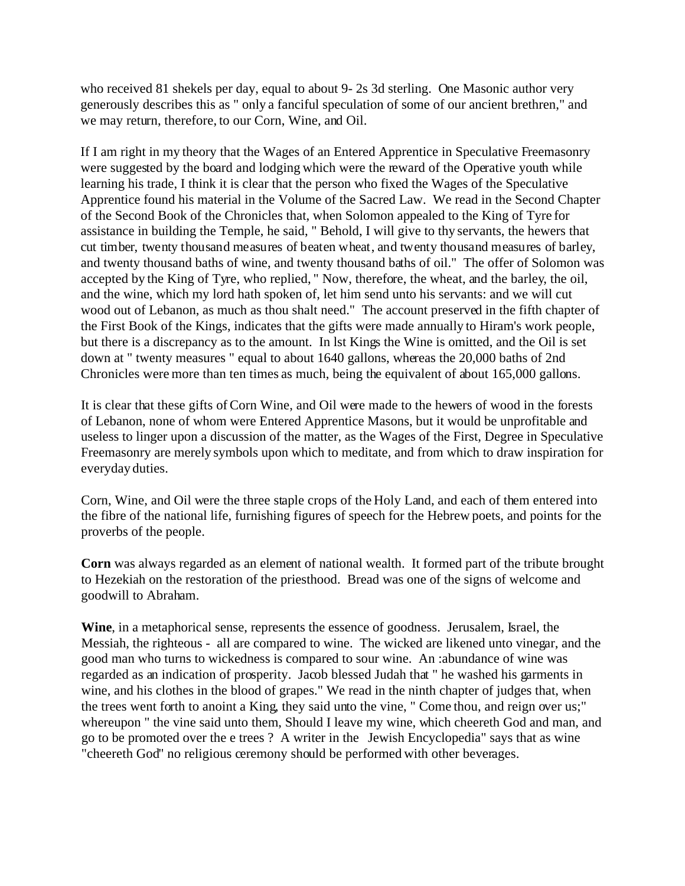who received 81 shekels per day, equal to about 9- 2s 3d sterling. One Masonic author very generously describes this as " only a fanciful speculation of some of our ancient brethren," and we may return, therefore, to our Corn, Wine, and Oil.

If I am right in my theory that the Wages of an Entered Apprentice in Speculative Freemasonry were suggested by the board and lodging which were the reward of the Operative youth while learning his trade, I think it is clear that the person who fixed the Wages of the Speculative Apprentice found his material in the Volume of the Sacred Law. We read in the Second Chapter of the Second Book of the Chronicles that, when Solomon appealed to the King of Tyre for assistance in building the Temple, he said, " Behold, I will give to thy servants, the hewers that cut timber, twenty thousand measures of beaten wheat, and twenty thousand measures of barley, and twenty thousand baths of wine, and twenty thousand baths of oil." The offer of Solomon was accepted by the King of Tyre, who replied, " Now, therefore, the wheat, and the barley, the oil, and the wine, which my lord hath spoken of, let him send unto his servants: and we will cut wood out of Lebanon, as much as thou shalt need." The account preserved in the fifth chapter of the First Book of the Kings, indicates that the gifts were made annually to Hiram's work people, but there is a discrepancy as to the amount. In lst Kings the Wine is omitted, and the Oil is set down at " twenty measures " equal to about 1640 gallons, whereas the 20,000 baths of 2nd Chronicles were more than ten times as much, being the equivalent of about 165,000 gallons.

It is clear that these gifts of Corn Wine, and Oil were made to the hewers of wood in the forests of Lebanon, none of whom were Entered Apprentice Masons, but it would be unprofitable and useless to linger upon a discussion of the matter, as the Wages of the First, Degree in Speculative Freemasonry are merely symbols upon which to meditate, and from which to draw inspiration for everyday duties.

Corn, Wine, and Oil were the three staple crops of the Holy Land, and each of them entered into the fibre of the national life, furnishing figures of speech for the Hebrew poets, and points for the proverbs of the people.

**Corn** was always regarded as an element of national wealth. It formed part of the tribute brought to Hezekiah on the restoration of the priesthood. Bread was one of the signs of welcome and goodwill to Abraham.

**Wine**, in a metaphorical sense, represents the essence of goodness. Jerusalem, Israel, the Messiah, the righteous - all are compared to wine. The wicked are likened unto vinegar, and the good man who turns to wickedness is compared to sour wine. An :abundance of wine was regarded as an indication of prosperity. Jacob blessed Judah that " he washed his garments in wine, and his clothes in the blood of grapes." We read in the ninth chapter of judges that, when the trees went forth to anoint a King, they said unto the vine, " Come thou, and reign over us;" whereupon " the vine said unto them, Should I leave my wine, which cheereth God and man, and go to be promoted over the e trees ? A writer in the Jewish Encyclopedia" says that as wine "cheereth God" no religious ceremony should be performed with other beverages.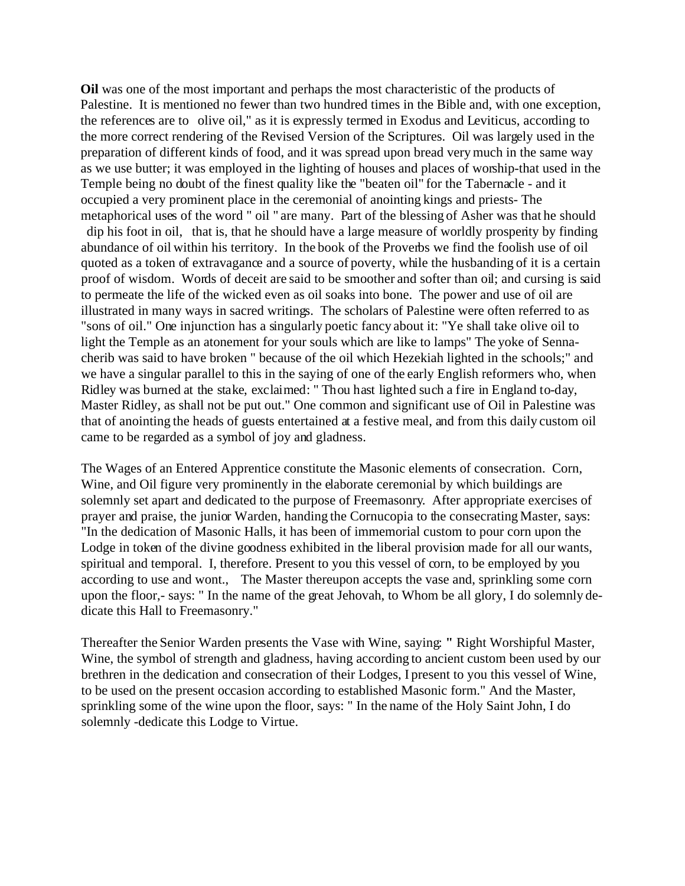**Oil** was one of the most important and perhaps the most characteristic of the products of Palestine. It is mentioned no fewer than two hundred times in the Bible and, with one exception, the references are to olive oil," as it is expressly termed in Exodus and Leviticus, according to the more correct rendering of the Revised Version of the Scriptures. Oil was largely used in the preparation of different kinds of food, and it was spread upon bread very much in the same way as we use butter; it was employed in the lighting of houses and places of worship-that used in the Temple being no doubt of the finest quality like the "beaten oil" for the Tabernacle - and it occupied a very prominent place in the ceremonial of anointing kings and priests- The metaphorical uses of the word " oil " are many. Part of the blessing of Asher was that he should

 dip his foot in oil, that is, that he should have a large measure of worldly prosperity by finding abundance of oil within his territory. In the book of the Proverbs we find the foolish use of oil quoted as a token of extravagance and a source of poverty, while the husbanding of it is a certain proof of wisdom. Words of deceit are said to be smoother and softer than oil; and cursing is said to permeate the life of the wicked even as oil soaks into bone. The power and use of oil are illustrated in many ways in sacred writings. The scholars of Palestine were often referred to as "sons of oil." One injunction has a singularly poetic fancy about it: "Ye shall take olive oil to light the Temple as an atonement for your souls which are like to lamps" The yoke of Sennacherib was said to have broken " because of the oil which Hezekiah lighted in the schools;" and we have a singular parallel to this in the saying of one of the early English reformers who, when Ridley was burned at the stake, exclaimed: " Thou hast lighted such a fire in England to-day, Master Ridley, as shall not be put out." One common and significant use of Oil in Palestine was that of anointing the heads of guests entertained at a festive meal, and from this daily custom oil came to be regarded as a symbol of joy and gladness.

The Wages of an Entered Apprentice constitute the Masonic elements of consecration. Corn, Wine, and Oil figure very prominently in the elaborate ceremonial by which buildings are solemnly set apart and dedicated to the purpose of Freemasonry. After appropriate exercises of prayer and praise, the junior Warden, handing the Cornucopia to the consecrating Master, says: "In the dedication of Masonic Halls, it has been of immemorial custom to pour corn upon the Lodge in token of the divine goodness exhibited in the liberal provision made for all our wants, spiritual and temporal. I, therefore. Present to you this vessel of corn, to be employed by you according to use and wont., The Master thereupon accepts the vase and, sprinkling some corn upon the floor,- says: " In the name of the great Jehovah, to Whom be all glory, I do solemnly dedicate this Hall to Freemasonry."

Thereafter the Senior Warden presents the Vase with Wine, saying: **"** Right Worshipful Master, Wine, the symbol of strength and gladness, having according to ancient custom been used by our brethren in the dedication and consecration of their Lodges, I present to you this vessel of Wine, to be used on the present occasion according to established Masonic form." And the Master, sprinkling some of the wine upon the floor, says: " In the name of the Holy Saint John, I do solemnly -dedicate this Lodge to Virtue.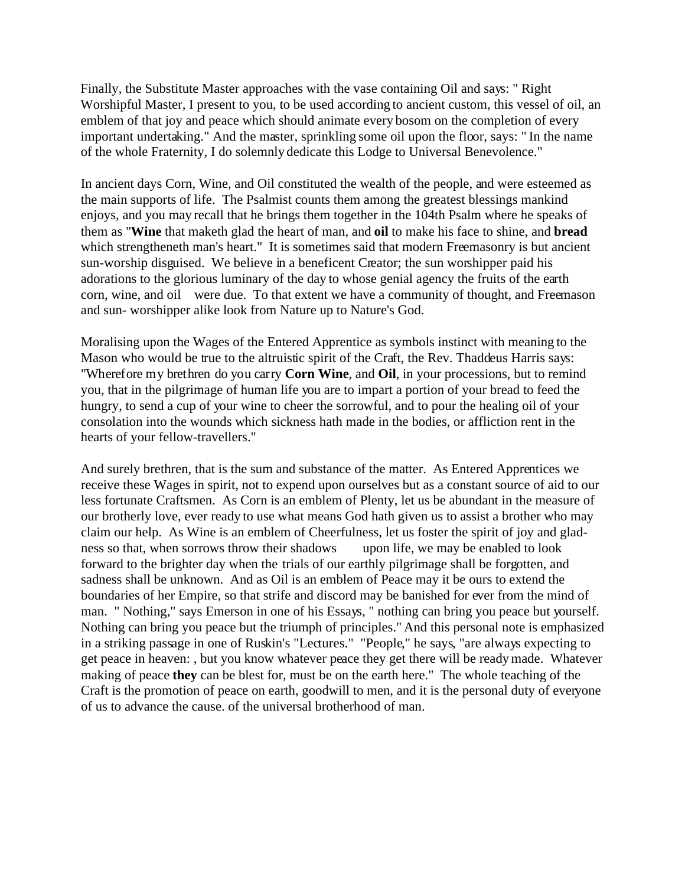Finally, the Substitute Master approaches with the vase containing Oil and says: " Right Worshipful Master, I present to you, to be used according to ancient custom, this vessel of oil, an emblem of that joy and peace which should animate every bosom on the completion of every important undertaking." And the master, sprinkling some oil upon the floor, says: " In the name of the whole Fraternity, I do solemnly dedicate this Lodge to Universal Benevolence."

In ancient days Corn, Wine, and Oil constituted the wealth of the people, and were esteemed as the main supports of life. The Psalmist counts them among the greatest blessings mankind enjoys, and you may recall that he brings them together in the 104th Psalm where he speaks of them as "**Wine** that maketh glad the heart of man, and **oil** to make his face to shine, and **bread** which strengtheneth man's heart." It is sometimes said that modern Freemasonry is but ancient sun-worship disguised. We believe in a beneficent Creator; the sun worshipper paid his adorations to the glorious luminary of the day to whose genial agency the fruits of the earth corn, wine, and oil were due. To that extent we have a community of thought, and Freemason and sun- worshipper alike look from Nature up to Nature's God.

Moralising upon the Wages of the Entered Apprentice as symbols instinct with meaning to the Mason who would be true to the altruistic spirit of the Craft, the Rev. Thaddeus Harris says: "Wherefore my brethren do you carry **Corn Wine**, and **Oil**, in your processions, but to remind you, that in the pilgrimage of human life you are to impart a portion of your bread to feed the hungry, to send a cup of your wine to cheer the sorrowful, and to pour the healing oil of your consolation into the wounds which sickness hath made in the bodies, or affliction rent in the hearts of your fellow-travellers."

And surely brethren, that is the sum and substance of the matter. As Entered Apprentices we receive these Wages in spirit, not to expend upon ourselves but as a constant source of aid to our less fortunate Craftsmen. As Corn is an emblem of Plenty, let us be abundant in the measure of our brotherly love, ever ready to use what means God hath given us to assist a brother who may claim our help. As Wine is an emblem of Cheerfulness, let us foster the spirit of joy and gladness so that, when sorrows throw their shadows upon life, we may be enabled to look forward to the brighter day when the trials of our earthly pilgrimage shall be forgotten, and sadness shall be unknown. And as Oil is an emblem of Peace may it be ours to extend the boundaries of her Empire, so that strife and discord may be banished for ever from the mind of man. " Nothing," says Emerson in one of his Essays, " nothing can bring you peace but yourself. Nothing can bring you peace but the triumph of principles." And this personal note is emphasized in a striking passage in one of Ruskin's "Lectures." "People," he says, "are always expecting to get peace in heaven: , but you know whatever peace they get there will be ready made. Whatever making of peace **they** can be blest for, must be on the earth here." The whole teaching of the Craft is the promotion of peace on earth, goodwill to men, and it is the personal duty of everyone of us to advance the cause. of the universal brotherhood of man.